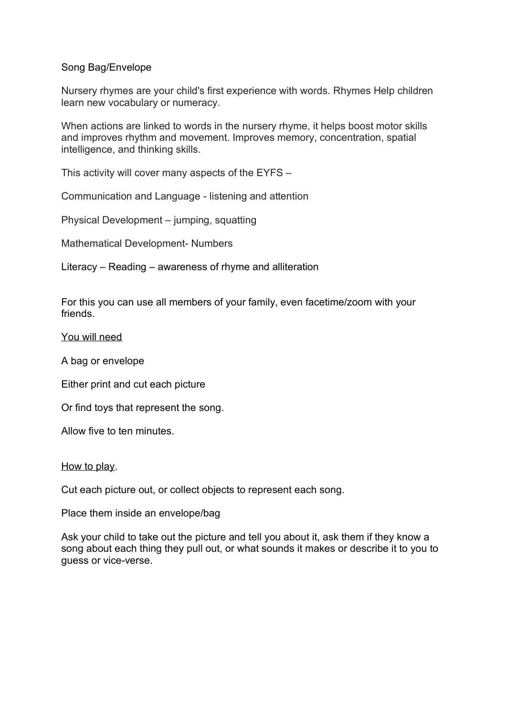# Song Bag/Envelope

Nursery rhymes are your child's first experience with words. Rhymes Help children learn new vocabulary or numeracy.

When actions are linked to words in the nursery rhyme, it helps boost motor skills and improves rhythm and movement. Improves memory, concentration, spatial intelligence, and thinking skills.

This activity will cover many aspects of the EYFS –

Communication and Language - listening and attention

Physical Development – jumping, squatting

Mathematical Development- Numbers

Literacy – Reading – awareness of rhyme and alliteration

For this you can use all members of your family, even facetime/zoom with your friends.

### You will need

A bag or envelope

Either print and cut each picture

Or find toys that represent the song.

Allow five to ten minutes.

How to play.

Cut each picture out, or collect objects to represent each song.

Place them inside an envelope/bag

Ask your child to take out the picture and tell you about it, ask them if they know a song about each thing they pull out, or what sounds it makes or describe it to you to guess or vice-verse.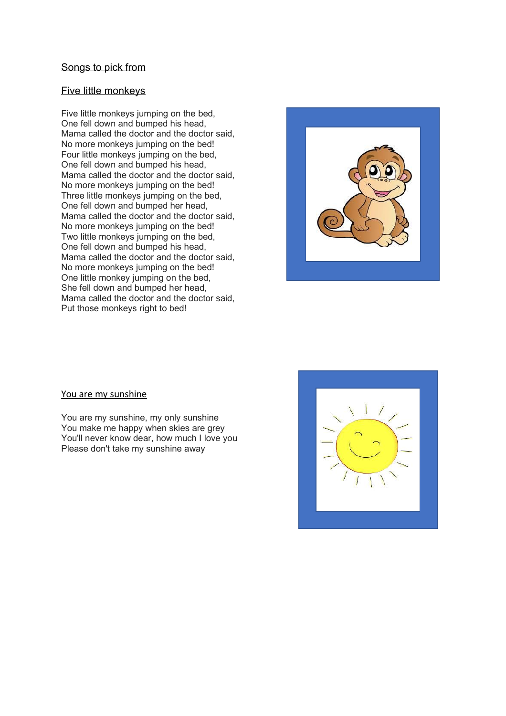## Songs to pick from

### Five little monkeys

Five little monkeys jumping on the bed, One fell down and bumped his head, Mama called the doctor and the doctor said, No more monkeys jumping on the bed! Four little monkeys jumping on the bed, One fell down and bumped his head, Mama called the doctor and the doctor said, No more monkeys jumping on the bed! Three little monkeys jumping on the bed, One fell down and bumped her head, Mama called the doctor and the doctor said, No more monkeys jumping on the bed! Two little monkeys jumping on the bed, One fell down and bumped his head, Mama called the doctor and the doctor said, No more monkeys jumping on the bed! One little monkey jumping on the bed, She fell down and bumped her head, Mama called the doctor and the doctor said, Put those monkeys right to bed!



#### You are my sunshine

You are my sunshine, my only sunshine You make me happy when skies are grey You'll never know dear, how much I love you Please don't take my sunshine away

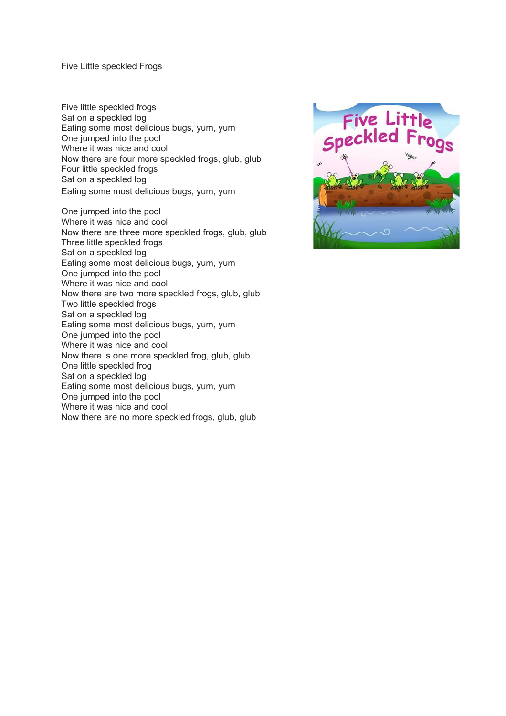#### Five Little speckled Frogs

Five little speckled frogs Sat on a speckled log Eating some most delicious bugs, yum, yum One jumped into the pool Where it was nice and cool Now there are four more speckled frogs, glub, glub Four little speckled frogs Sat on a speckled log Eating some most delicious bugs, yum, yum

One jumped into the pool Where it was nice and cool Now there are three more speckled frogs, glub, glub Three little speckled frogs Sat on a speckled log Eating some most delicious bugs, yum, yum One jumped into the pool Where it was nice and cool Now there are two more speckled frogs, glub, glub Two little speckled frogs Sat on a speckled log Eating some most delicious bugs, yum, yum One jumped into the pool Where it was nice and cool Now there is one more speckled frog, glub, glub One little speckled frog Sat on a speckled log Eating some most delicious bugs, yum, yum One jumped into the pool Where it was nice and cool Now there are no more speckled frogs, glub, glub

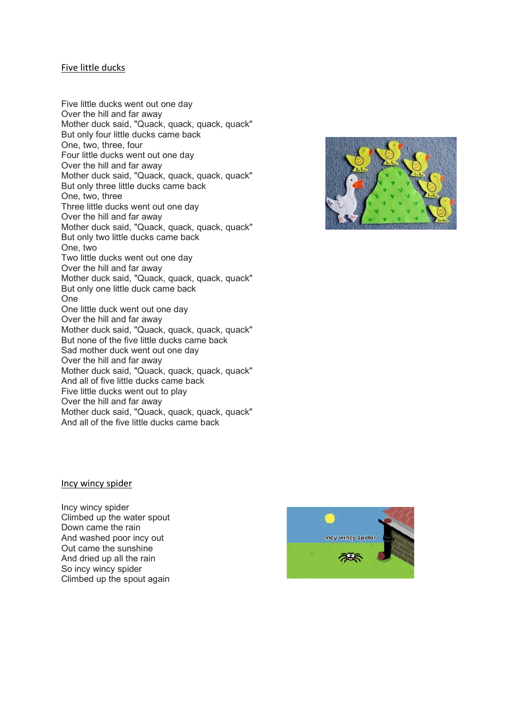### Five little ducks

Five little ducks went out one day Over the hill and far away Mother duck said, "Quack, quack, quack, quack" But only four little ducks came back One, two, three, four Four little ducks went out one day Over the hill and far away Mother duck said, "Quack, quack, quack, quack" But only three little ducks came back One, two, three Three little ducks went out one day Over the hill and far away Mother duck said, "Quack, quack, quack, quack" But only two little ducks came back One, two Two little ducks went out one day Over the hill and far away Mother duck said, "Quack, quack, quack, quack" But only one little duck came back One One little duck went out one day Over the hill and far away Mother duck said, "Quack, quack, quack, quack" But none of the five little ducks came back Sad mother duck went out one day Over the hill and far away Mother duck said, "Quack, quack, quack, quack" And all of five little ducks came back Five little ducks went out to play Over the hill and far away Mother duck said, "Quack, quack, quack, quack" And all of the five little ducks came back



#### Incy wincy spider

Incy wincy spider Climbed up the water spout Down came the rain And washed poor incy out Out came the sunshine And dried up all the rain So incy wincy spider Climbed up the spout again

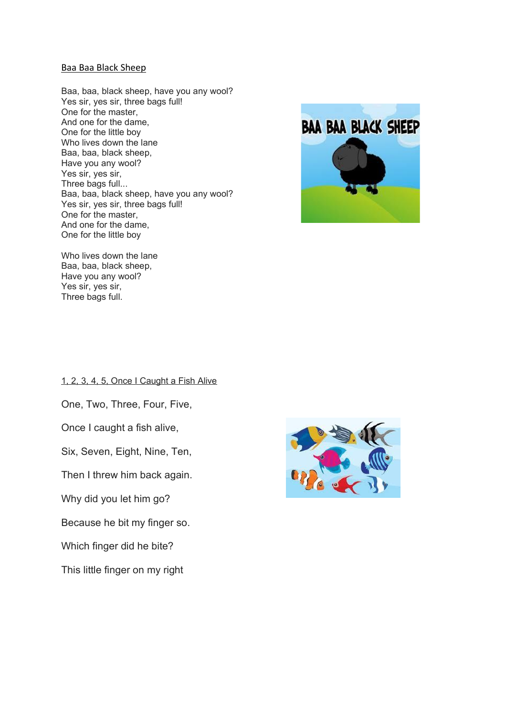### Baa Baa Black Sheep

Baa, baa, black sheep, have you any wool? Yes sir, yes sir, three bags full! One for the master, And one for the dame, One for the little boy Who lives down the lane Baa, baa, black sheep, Have you any wool? Yes sir, yes sir, Three bags full... Baa, baa, black sheep, have you any wool? Yes sir, yes sir, three bags full! One for the master, And one for the dame, One for the little boy



Who lives down the lane Baa, baa, black sheep, Have you any wool? Yes sir, yes sir, Three bags full.

### 1, 2, 3, 4, 5, Once I Caught a Fish Alive

One, Two, Three, Four, Five,

Once I caught a fish alive,

Six, Seven, Eight, Nine, Ten,

Then I threw him back again.

Why did you let him go?

Because he bit my finger so.

Which finger did he bite?

This little finger on my right

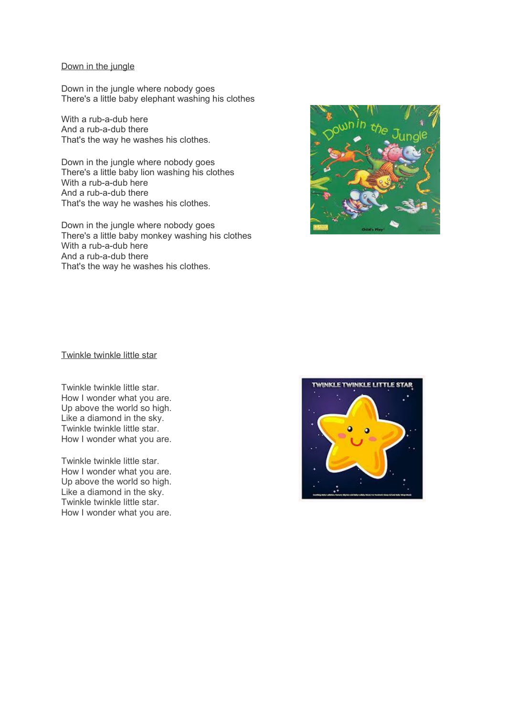#### Down in the jungle

Down in the jungle where nobody goes There's a little baby elephant washing his clothes

With a rub-a-dub here And a rub-a-dub there That's the way he washes his clothes.

Down in the jungle where nobody goes There's a little baby lion washing his clothes With a rub-a-dub here And a rub-a-dub there That's the way he washes his clothes.

Down in the jungle where nobody goes There's a little baby monkey washing his clothes With a rub-a-dub here And a rub-a-dub there That's the way he washes his clothes.



Twinkle twinkle little star

Twinkle twinkle little star. How I wonder what you are. Up above the world so high. Like a diamond in the sky. Twinkle twinkle little star. How I wonder what you are.

Twinkle twinkle little star. How I wonder what you are. Up above the world so high. Like a diamond in the sky. Twinkle twinkle little star. How I wonder what you are.